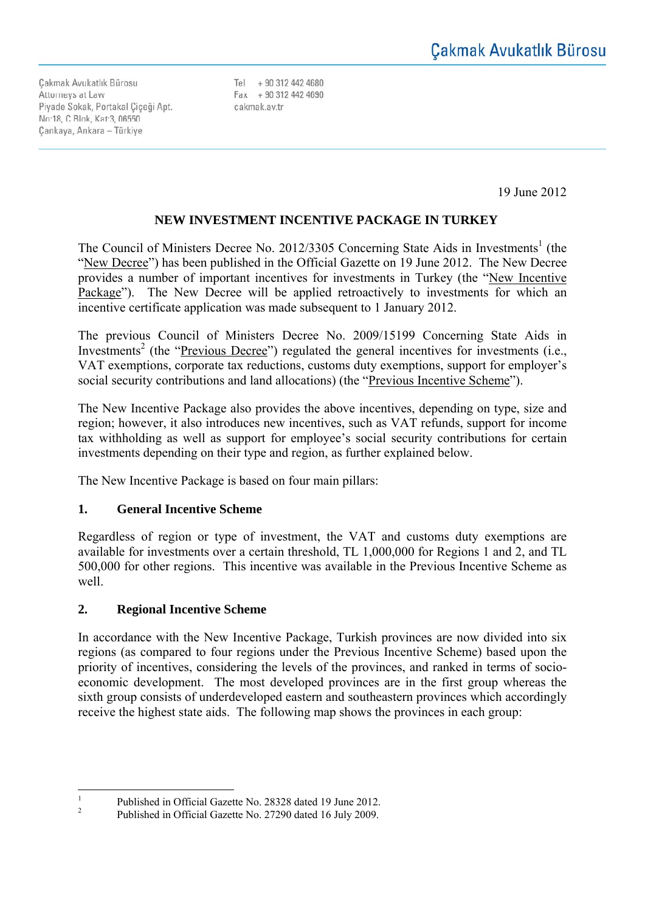Cakmak Avukatlık Bürosu Attorneys at Law Piyade Sokak, Portakal Ciceği Apt. No:18, C Blok, Kat:3, 06550 Cankaya, Ankara - Türkiye

Tel +90 312 442 4680 Fax + 90 312 442 4690 cakmak.av.tr

19 June 2012

# **NEW INVESTMENT INCENTIVE PACKAGE IN TURKEY**

The Council of Ministers Decree No. 2012/3305 Concerning State Aids in Investments<sup>1</sup> (the "New Decree") has been published in the Official Gazette on 19 June 2012. The New Decree provides a number of important incentives for investments in Turkey (the "New Incentive Package"). The New Decree will be applied retroactively to investments for which an incentive certificate application was made subsequent to 1 January 2012.

The previous Council of Ministers Decree No. 2009/15199 Concerning State Aids in Investments<sup>2</sup> (the "Previous Decree") regulated the general incentives for investments (i.e., VAT exemptions, corporate tax reductions, customs duty exemptions, support for employer's social security contributions and land allocations) (the "Previous Incentive Scheme").

The New Incentive Package also provides the above incentives, depending on type, size and region; however, it also introduces new incentives, such as VAT refunds, support for income tax withholding as well as support for employee's social security contributions for certain investments depending on their type and region, as further explained below.

The New Incentive Package is based on four main pillars:

## **1. General Incentive Scheme**

Regardless of region or type of investment, the VAT and customs duty exemptions are available for investments over a certain threshold, TL 1,000,000 for Regions 1 and 2, and TL 500,000 for other regions. This incentive was available in the Previous Incentive Scheme as well.

## **2. Regional Incentive Scheme**

In accordance with the New Incentive Package, Turkish provinces are now divided into six regions (as compared to four regions under the Previous Incentive Scheme) based upon the priority of incentives, considering the levels of the provinces, and ranked in terms of socioeconomic development. The most developed provinces are in the first group whereas the sixth group consists of underdeveloped eastern and southeastern provinces which accordingly receive the highest state aids. The following map shows the provinces in each group:

 $\frac{1}{1}$ Published in Official Gazette No. 28328 dated 19 June 2012.

<sup>2</sup> Published in Official Gazette No. 27290 dated 16 July 2009.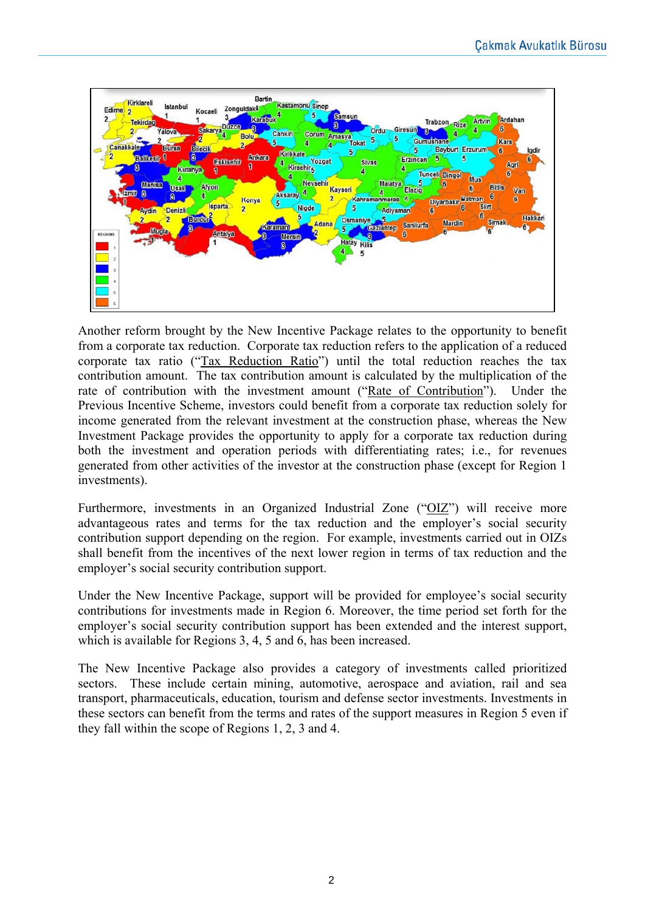

Another reform brought by the New Incentive Package relates to the opportunity to benefit from a corporate tax reduction. Corporate tax reduction refers to the application of a reduced corporate tax ratio ("Tax Reduction Ratio") until the total reduction reaches the tax contribution amount. The tax contribution amount is calculated by the multiplication of the rate of contribution with the investment amount ("Rate of Contribution"). Under the Previous Incentive Scheme, investors could benefit from a corporate tax reduction solely for income generated from the relevant investment at the construction phase, whereas the New Investment Package provides the opportunity to apply for a corporate tax reduction during both the investment and operation periods with differentiating rates; i.e., for revenues generated from other activities of the investor at the construction phase (except for Region 1 investments).

Furthermore, investments in an Organized Industrial Zone ("OIZ") will receive more advantageous rates and terms for the tax reduction and the employer's social security contribution support depending on the region. For example, investments carried out in OIZs shall benefit from the incentives of the next lower region in terms of tax reduction and the employer's social security contribution support.

Under the New Incentive Package, support will be provided for employee's social security contributions for investments made in Region 6. Moreover, the time period set forth for the employer's social security contribution support has been extended and the interest support, which is available for Regions 3, 4, 5 and 6, has been increased.

The New Incentive Package also provides a category of investments called prioritized sectors. These include certain mining, automotive, aerospace and aviation, rail and sea transport, pharmaceuticals, education, tourism and defense sector investments. Investments in these sectors can benefit from the terms and rates of the support measures in Region 5 even if they fall within the scope of Regions 1, 2, 3 and 4.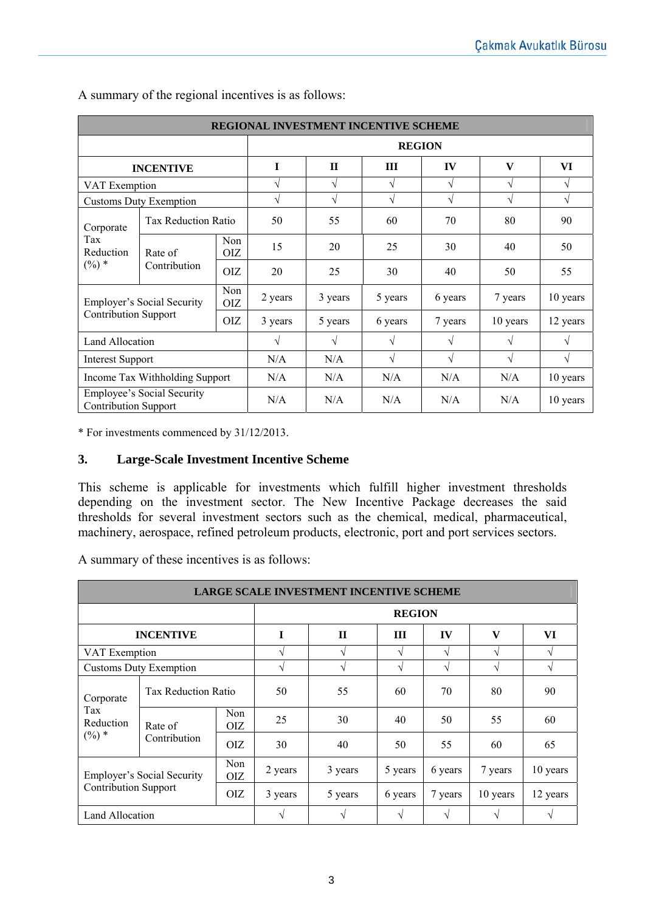| REGIONAL INVESTMENT INCENTIVE SCHEME                                                                |                            |                   |               |              |            |            |              |               |
|-----------------------------------------------------------------------------------------------------|----------------------------|-------------------|---------------|--------------|------------|------------|--------------|---------------|
|                                                                                                     |                            |                   | <b>REGION</b> |              |            |            |              |               |
| <b>INCENTIVE</b>                                                                                    |                            |                   | I             | $\mathbf{H}$ | Ш          | IV         | $\mathbf{V}$ | VI            |
| VAT Exemption                                                                                       |                            |                   | V             | V            | V          | V          | $\sqrt{}$    | $\mathcal{N}$ |
| <b>Customs Duty Exemption</b>                                                                       |                            |                   | V             | $\sqrt{}$    | $\sqrt{ }$ | V          | $\sqrt{}$    | $\sqrt{ }$    |
| Corporate<br>Tax<br>Reduction<br>$(\%) *$                                                           | <b>Tax Reduction Ratio</b> |                   | 50            | 55           | 60         | 70         | 80           | 90            |
|                                                                                                     | Rate of<br>Contribution    | Non<br><b>OIZ</b> | 15            | 20           | 25         | 30         | 40           | 50            |
|                                                                                                     |                            | <b>OIZ</b>        | 20            | 25           | 30         | 40         | 50           | 55            |
| Non<br><b>Employer's Social Security</b><br><b>OIZ</b><br><b>Contribution Support</b><br><b>OIZ</b> |                            | 2 years           | 3 years       | 5 years      | 6 years    | 7 years    | 10 years     |               |
|                                                                                                     |                            |                   | 3 years       | 5 years      | 6 years    | 7 years    | 10 years     | 12 years      |
| <b>Land Allocation</b>                                                                              |                            |                   | $\sqrt{ }$    | V            | $\sqrt{ }$ | $\sqrt{ }$ | $\sqrt{ }$   | V             |
| <b>Interest Support</b>                                                                             |                            |                   | N/A           | N/A          | $\sqrt{ }$ | $\sqrt{ }$ | $\sqrt{ }$   | $\sqrt{ }$    |
| Income Tax Withholding Support                                                                      |                            |                   | N/A           | N/A          | N/A        | N/A        | N/A          | 10 years      |
| <b>Employee's Social Security</b><br><b>Contribution Support</b>                                    |                            |                   | N/A           | N/A          | N/A        | N/A        | N/A          | 10 years      |

A summary of the regional incentives is as follows:

\* For investments commenced by 31/12/2013.

#### **3. Large-Scale Investment Incentive Scheme**

This scheme is applicable for investments which fulfill higher investment thresholds depending on the investment sector. The New Incentive Package decreases the said thresholds for several investment sectors such as the chemical, medical, pharmaceutical, machinery, aerospace, refined petroleum products, electronic, port and port services sectors.

A summary of these incentives is as follows:

| <b>LARGE SCALE INVESTMENT INCENTIVE SCHEME</b>                                          |                            |             |               |              |               |          |              |               |  |
|-----------------------------------------------------------------------------------------|----------------------------|-------------|---------------|--------------|---------------|----------|--------------|---------------|--|
|                                                                                         |                            |             | <b>REGION</b> |              |               |          |              |               |  |
| <b>INCENTIVE</b>                                                                        |                            |             | I             | $\mathbf{H}$ | Ш             | IV       | $\mathbf{V}$ | VI            |  |
| VAT Exemption                                                                           |                            |             | $\sqrt{}$     | N            | $\sqrt{ }$    | V        | V            | N             |  |
| <b>Customs Duty Exemption</b>                                                           |                            |             | $\sqrt{ }$    | N            | $\sqrt{ }$    | V        | V            | $\sqrt{ }$    |  |
| Corporate<br>Tax<br>Reduction<br>$(\%) *$                                               | <b>Tax Reduction Ratio</b> |             | 50            | 55           | 60            | 70       | 80           | 90            |  |
|                                                                                         | Rate of<br>Contribution    | Non<br>OIZ. | 25            | 30           | 40            | 50       | 55           | 60            |  |
|                                                                                         |                            | OIZ.        | 30            | 40           | 50            | 55       | 60           | 65            |  |
| Non<br><b>Employer's Social Security</b><br>OIZ.<br><b>Contribution Support</b><br>OIZ. |                            | 2 years     | 3 years       | 5 years      | 6 years       | 7 years  | 10 years     |               |  |
|                                                                                         |                            | 3 years     | 5 years       | 6 years      | 7 years       | 10 years | 12 years     |               |  |
| Land Allocation                                                                         |                            |             | $\sqrt{ }$    | N            | $\mathcal{L}$ | N        | N            | $\mathcal{L}$ |  |